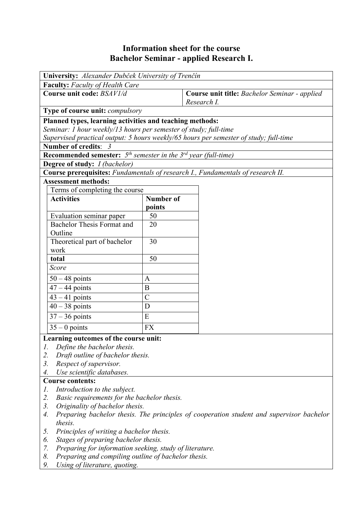## **Information sheet for the course Bachelor Seminar - applied Research I.**

| University: Alexander Dubček University of Trenčín                                             |                  |                                                                                 |  |  |  |  |
|------------------------------------------------------------------------------------------------|------------------|---------------------------------------------------------------------------------|--|--|--|--|
| <b>Faculty:</b> Faculty of Health Care                                                         |                  |                                                                                 |  |  |  |  |
| Course unit code: BSAV1/d                                                                      |                  | Course unit title: Bachelor Seminar - applied                                   |  |  |  |  |
|                                                                                                |                  | Research I.                                                                     |  |  |  |  |
| Type of course unit: compulsory                                                                |                  |                                                                                 |  |  |  |  |
| Planned types, learning activities and teaching methods:                                       |                  |                                                                                 |  |  |  |  |
| Seminar: 1 hour weekly/13 hours per semester of study; full-time                               |                  |                                                                                 |  |  |  |  |
| Supervised practical output: 5 hours weekly/65 hours per semester of study; full-time          |                  |                                                                                 |  |  |  |  |
| Number of credits: 3                                                                           |                  |                                                                                 |  |  |  |  |
| <b>Recommended semester:</b> $5th$ semester in the $3rd$ year (full-time)                      |                  |                                                                                 |  |  |  |  |
| <b>Degree of study:</b> <i>I (bachelor)</i>                                                    |                  |                                                                                 |  |  |  |  |
|                                                                                                |                  | Course prerequisites: Fundamentals of research I., Fundamentals of research II. |  |  |  |  |
| <b>Assessment methods:</b>                                                                     |                  |                                                                                 |  |  |  |  |
| Terms of completing the course                                                                 |                  |                                                                                 |  |  |  |  |
| <b>Activities</b>                                                                              | <b>Number of</b> |                                                                                 |  |  |  |  |
|                                                                                                | points           |                                                                                 |  |  |  |  |
| Evaluation seminar paper                                                                       | 50               |                                                                                 |  |  |  |  |
| <b>Bachelor Thesis Format and</b>                                                              | 20               |                                                                                 |  |  |  |  |
| Outline                                                                                        |                  |                                                                                 |  |  |  |  |
| Theoretical part of bachelor                                                                   | 30               |                                                                                 |  |  |  |  |
| work                                                                                           |                  |                                                                                 |  |  |  |  |
| total                                                                                          | 50               |                                                                                 |  |  |  |  |
| Score                                                                                          |                  |                                                                                 |  |  |  |  |
| $50 - 48$ points                                                                               | A                |                                                                                 |  |  |  |  |
| $47 - 44$ points                                                                               | B                |                                                                                 |  |  |  |  |
| $43 - 41$ points                                                                               | $\overline{C}$   |                                                                                 |  |  |  |  |
| $40 - 38$ points                                                                               | D                |                                                                                 |  |  |  |  |
| $37 - 36$ points                                                                               | E                |                                                                                 |  |  |  |  |
| $35 - 0$ points                                                                                | <b>FX</b>        |                                                                                 |  |  |  |  |
| Learning outcomes of the course unit:                                                          |                  |                                                                                 |  |  |  |  |
| Define the bachelor thesis.<br>1.                                                              |                  |                                                                                 |  |  |  |  |
| 2.<br>Draft outline of bachelor thesis.                                                        |                  |                                                                                 |  |  |  |  |
| 3.<br>Respect of supervisor.                                                                   |                  |                                                                                 |  |  |  |  |
| Use scientific databases.<br>4.                                                                |                  |                                                                                 |  |  |  |  |
| <b>Course contents:</b>                                                                        |                  |                                                                                 |  |  |  |  |
| Introduction to the subject.<br>1.                                                             |                  |                                                                                 |  |  |  |  |
| 2.<br>Basic requirements for the bachelor thesis.                                              |                  |                                                                                 |  |  |  |  |
| 3.<br>Originality of bachelor thesis.                                                          |                  |                                                                                 |  |  |  |  |
| Preparing bachelor thesis. The principles of cooperation student and supervisor bachelor<br>4. |                  |                                                                                 |  |  |  |  |
| thesis.                                                                                        |                  |                                                                                 |  |  |  |  |
| Principles of writing a bachelor thesis.<br>5.                                                 |                  |                                                                                 |  |  |  |  |
| Stages of preparing bachelor thesis.<br>6.                                                     |                  |                                                                                 |  |  |  |  |
| Preparing for information seeking, study of literature.<br>7.                                  |                  |                                                                                 |  |  |  |  |
| 8.<br>Preparing and compiling outline of bachelor thesis.                                      |                  |                                                                                 |  |  |  |  |
| Using of literature, quoting.<br>9.                                                            |                  |                                                                                 |  |  |  |  |